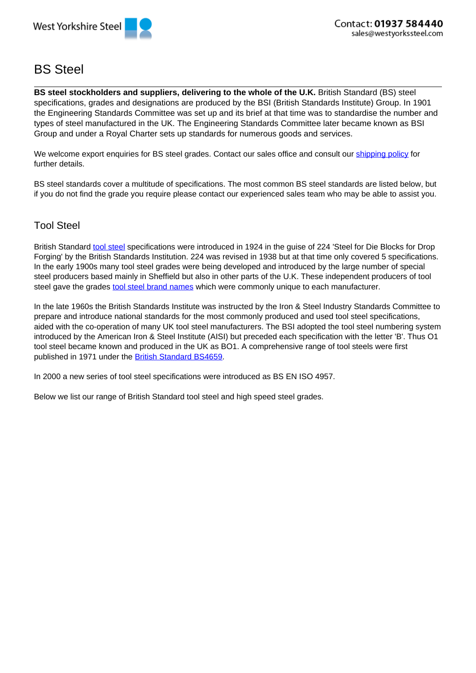

# BS Steel

**BS steel stockholders and suppliers, delivering to the whole of the U.K.** British Standard (BS) steel specifications, grades and designations are produced by the BSI (British Standards Institute) Group. In 1901 the Engineering Standards Committee was set up and its brief at that time was to standardise the number and types of steel manufactured in the UK. The Engineering Standards Committee later became known as BSI Group and under a Royal Charter sets up standards for numerous goods and services.

We welcome export enquiries for BS steel grades. Contact our sales office and consult our shipping policy for further details.

BS steel standards cover a multitude of specifications. The most common BS steel standards are listed below, but if you do not find the grade you require please contact our experienced sales team who may be able to assist you.

#### Tool Steel

British Standard tool steel specifications were introduced in 1924 in the quise of 224 'Steel for Die Blocks for Drop Forging' by the British Standards Institution. 224 was revised in 1938 but at that time only covered 5 specifications. In the early 1900s many tool steel grades were being developed and introduced by the large number of special steel producers based mainly in Sheffield but also in other parts of the U.K. These independent producers of tool steel gave the grades tool steel brand names which were commonly unique to each manufacturer.

In the late 1960s the British Standards Institute was instructed by the Iron & Steel Industry Standards Committee to prepare and introduce national standards for the most commonly produced and used tool steel specifications, aided with the co-operation of many UK tool steel manufacturers. The BSI adopted the tool steel numbering system introduced by the American Iron & Steel Institute (AISI) but preceded each specification with the letter 'B'. Thus O1 tool steel became known and produced in the UK as BO1. A comprehensive range of tool steels were first published in 1971 under the British Standard BS4659.

In 2000 a new series of tool steel specifications were introduced as BS EN ISO 4957.

Below we list our range of British Standard tool steel and high speed steel grades.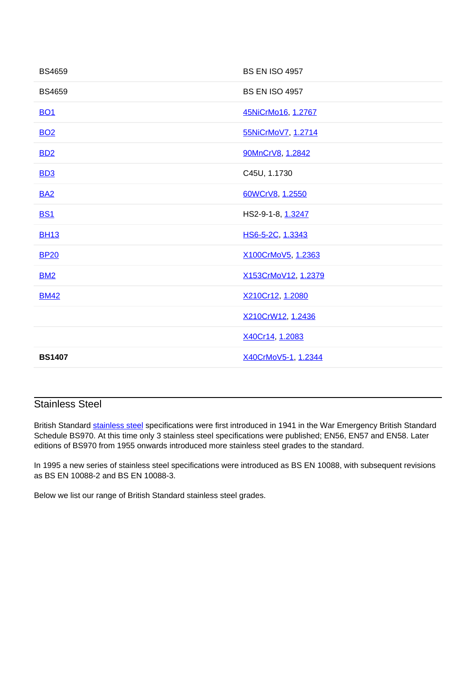| <b>BS4659</b> | <b>BS EN ISO 4957</b> |
|---------------|-----------------------|
| <b>BS4659</b> | <b>BS EN ISO 4957</b> |
| <b>BO1</b>    | 45NiCrMo16, 1.2767    |
| <b>BO2</b>    | 55NiCrMoV7, 1.2714    |
| <b>BD2</b>    | 90MnCrV8, 1.2842      |
| <b>BD3</b>    | C45U, 1.1730          |
| <b>BA2</b>    | 60WCrV8, 1.2550       |
| <b>BS1</b>    | HS2-9-1-8, 1.3247     |
| <b>BH13</b>   | HS6-5-2C, 1.3343      |
| <b>BP20</b>   | X100CrMoV5, 1.2363    |
| <b>BM2</b>    | X153CrMoV12, 1.2379   |
| <b>BM42</b>   | X210Cr12, 1.2080      |
|               | X210CrW12, 1.2436     |
|               | X40Cr14, 1.2083       |
| <b>BS1407</b> | X40CrMoV5-1, 1.2344   |

### Stainless Steel

British Standard stainless steel specifications were first introduced in 1941 in the War Emergency British Standard Schedule BS970. At this time only 3 stainless steel specifications were published; EN56, EN57 and EN58. Later editions of BS970 from 1955 onwards introduced more stainless steel grades to the standard.

In 1995 a new series of stainless steel specifications were introduced as BS EN 10088, with subsequent revisions as BS EN 10088-2 and BS EN 10088-3.

Below we list our range of British Standard stainless steel grades.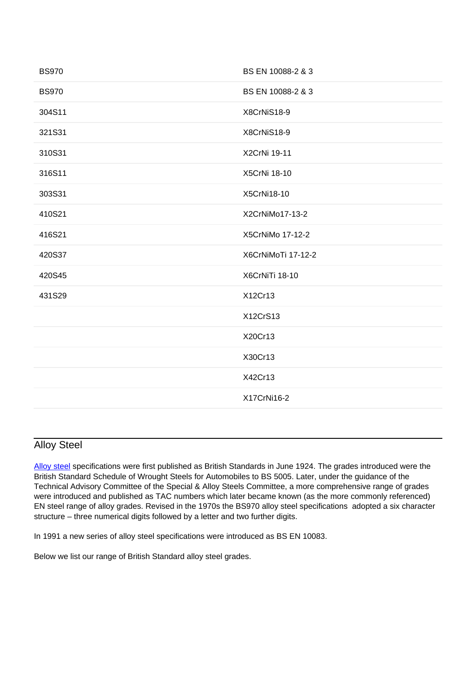| <b>BS970</b> | BS EN 10088-2 & 3  |
|--------------|--------------------|
| <b>BS970</b> | BS EN 10088-2 & 3  |
| 304S11       | X8CrNiS18-9        |
| 321S31       | X8CrNiS18-9        |
| 310S31       | X2CrNi 19-11       |
| 316S11       | X5CrNi 18-10       |
| 303S31       | X5CrNi18-10        |
| 410S21       | X2CrNiMo17-13-2    |
| 416S21       | X5CrNiMo 17-12-2   |
| 420S37       | X6CrNiMoTi 17-12-2 |
| 420S45       | X6CrNiTi 18-10     |
| 431S29       | X12Cr13            |
|              | X12CrS13           |
|              | X20Cr13            |
|              | X30Cr13            |
|              | X42Cr13            |
|              | X17CrNi16-2        |
|              |                    |

### Alloy Steel

Alloy steel specifications were first published as British Standards in June 1924. The grades introduced were the British Standard Schedule of Wrought Steels for Automobiles to BS 5005. Later, under the guidance of the Technical Advisory Committee of the Special & Alloy Steels Committee, a more comprehensive range of grades were introduced and published as TAC numbers which later became known (as the more commonly referenced) EN steel range of alloy grades. Revised in the 1970s the BS970 alloy steel specifications adopted a six character structure – three numerical digits followed by a letter and two further digits.

In 1991 a new series of alloy steel specifications were introduced as BS EN 10083.

Below we list our range of British Standard alloy steel grades.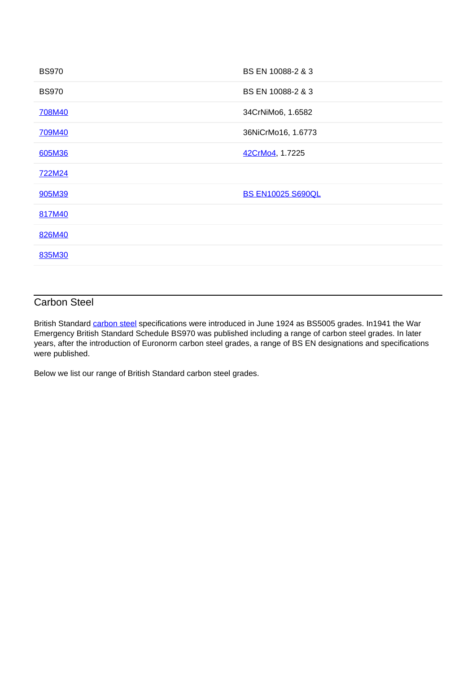| <b>BS970</b> | BS EN 10088-2 & 3        |
|--------------|--------------------------|
| <b>BS970</b> | BS EN 10088-2 & 3        |
| 708M40       | 34CrNiMo6, 1.6582        |
| 709M40       | 36NiCrMo16, 1.6773       |
| 605M36       | 42CrMo4, 1.7225          |
| 722M24       |                          |
| 905M39       | <b>BS EN10025 S690QL</b> |
| 817M40       |                          |
| 826M40       |                          |
| 835M30       |                          |
|              |                          |

#### Carbon Steel

British Standard carbon steel specifications were introduced in June 1924 as BS5005 grades. In1941 the War Emergency British Standard Schedule BS970 was published including a range of carbon steel grades. In later years, after the introduction of Euronorm carbon steel grades, a range of BS EN designations and specifications were published.

Below we list our range of British Standard carbon steel grades.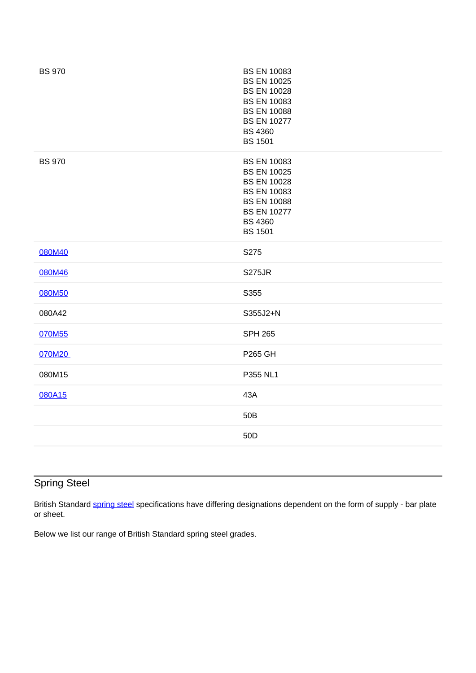| <b>BS 970</b> | <b>BS EN 10083</b><br><b>BS EN 10025</b><br><b>BS EN 10028</b><br><b>BS EN 10083</b><br><b>BS EN 10088</b><br><b>BS EN 10277</b><br><b>BS 4360</b><br><b>BS 1501</b> |
|---------------|----------------------------------------------------------------------------------------------------------------------------------------------------------------------|
| <b>BS 970</b> | <b>BS EN 10083</b><br><b>BS EN 10025</b><br><b>BS EN 10028</b><br><b>BS EN 10083</b><br><b>BS EN 10088</b><br><b>BS EN 10277</b><br><b>BS 4360</b><br><b>BS 1501</b> |
| 080M40        | S275                                                                                                                                                                 |
| 080M46        | <b>S275JR</b>                                                                                                                                                        |
| 080M50        | S355                                                                                                                                                                 |
| 080A42        | S355J2+N                                                                                                                                                             |
| 070M55        | <b>SPH 265</b>                                                                                                                                                       |
| 070M20        | <b>P265 GH</b>                                                                                                                                                       |
| 080M15        | P355 NL1                                                                                                                                                             |
| 080A15        | 43A                                                                                                                                                                  |
|               | 50B                                                                                                                                                                  |
|               | 50D                                                                                                                                                                  |
|               |                                                                                                                                                                      |

# Spring Steel

British Standard spring steel specifications have differing designations dependent on the form of supply - bar plate or sheet.

Below we list our range of British Standard spring steel grades.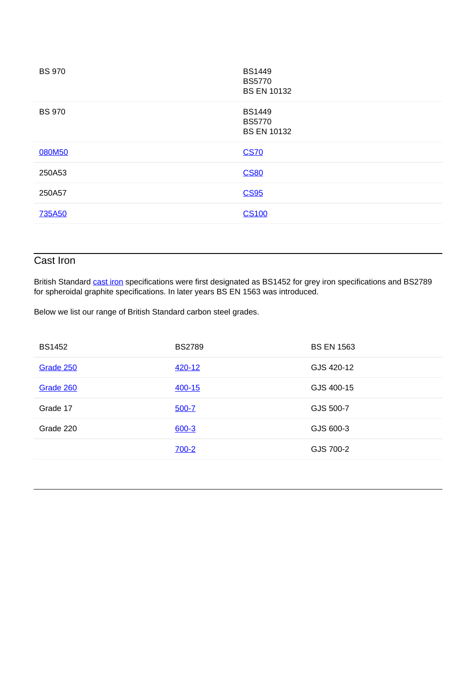| <b>BS 970</b> | <b>BS1449</b><br><b>BS5770</b><br><b>BS EN 10132</b> |
|---------------|------------------------------------------------------|
| <b>BS 970</b> | <b>BS1449</b><br><b>BS5770</b><br><b>BS EN 10132</b> |
| 080M50        | <b>CS70</b>                                          |
| 250A53        | <b>CS80</b>                                          |
| 250A57        | <b>CS95</b>                                          |
| <b>735A50</b> | <b>CS100</b>                                         |
|               |                                                      |

### Cast Iron

British Standard cast iron specifications were first designated as BS1452 for grey iron specifications and BS2789 for spheroidal graphite specifications. In later years BS EN 1563 was introduced.

Below we list our range of British Standard carbon steel grades.

| <b>BS1452</b> | <b>BS2789</b> | <b>BS EN 1563</b> |
|---------------|---------------|-------------------|
| Grade 250     | 420-12        | GJS 420-12        |
| Grade 260     | 400-15        | GJS 400-15        |
| Grade 17      | $500 - 7$     | GJS 500-7         |
| Grade 220     | $600 - 3$     | GJS 600-3         |
|               | $700 - 2$     | GJS 700-2         |
|               |               |                   |